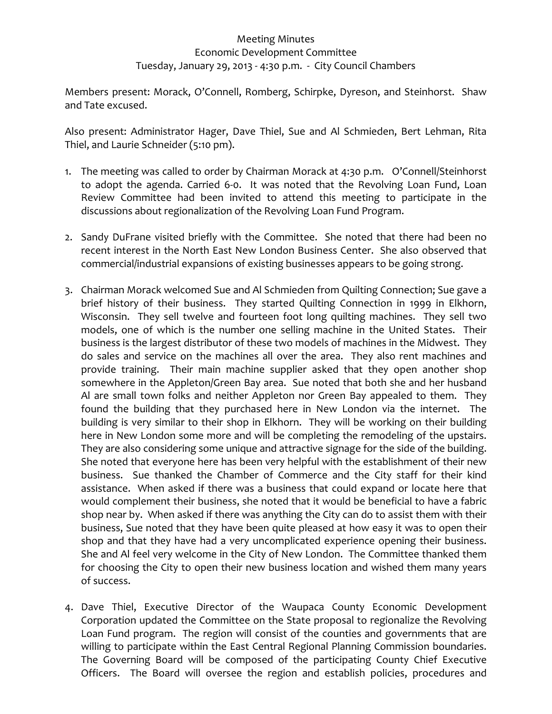## Meeting Minutes Economic Development Committee Tuesday, January 29, 2013 ‐ 4:30 p.m. ‐ City Council Chambers

Members present: Morack, O'Connell, Romberg, Schirpke, Dyreson, and Steinhorst. Shaw and Tate excused.

Also present: Administrator Hager, Dave Thiel, Sue and Al Schmieden, Bert Lehman, Rita Thiel, and Laurie Schneider (5:10 pm).

- 1. The meeting was called to order by Chairman Morack at 4:30 p.m. O'Connell/Steinhorst to adopt the agenda. Carried 6-0. It was noted that the Revolving Loan Fund, Loan Review Committee had been invited to attend this meeting to participate in the discussions about regionalization of the Revolving Loan Fund Program.
- 2. Sandy DuFrane visited briefly with the Committee. She noted that there had been no recent interest in the North East New London Business Center. She also observed that commercial/industrial expansions of existing businesses appears to be going strong.
- 3. Chairman Morack welcomed Sue and Al Schmieden from Quilting Connection; Sue gave a brief history of their business. They started Quilting Connection in 1999 in Elkhorn, Wisconsin. They sell twelve and fourteen foot long quilting machines. They sell two models, one of which is the number one selling machine in the United States. Their business is the largest distributor of these two models of machines in the Midwest. They do sales and service on the machines all over the area. They also rent machines and provide training. Their main machine supplier asked that they open another shop somewhere in the Appleton/Green Bay area. Sue noted that both she and her husband Al are small town folks and neither Appleton nor Green Bay appealed to them. They found the building that they purchased here in New London via the internet. The building is very similar to their shop in Elkhorn. They will be working on their building here in New London some more and will be completing the remodeling of the upstairs. They are also considering some unique and attractive signage for the side of the building. She noted that everyone here has been very helpful with the establishment of their new business. Sue thanked the Chamber of Commerce and the City staff for their kind assistance. When asked if there was a business that could expand or locate here that would complement their business, she noted that it would be beneficial to have a fabric shop near by. When asked if there was anything the City can do to assist them with their business, Sue noted that they have been quite pleased at how easy it was to open their shop and that they have had a very uncomplicated experience opening their business. She and Al feel very welcome in the City of New London. The Committee thanked them for choosing the City to open their new business location and wished them many years of success.
- 4. Dave Thiel, Executive Director of the Waupaca County Economic Development Corporation updated the Committee on the State proposal to regionalize the Revolving Loan Fund program. The region will consist of the counties and governments that are willing to participate within the East Central Regional Planning Commission boundaries. The Governing Board will be composed of the participating County Chief Executive Officers. The Board will oversee the region and establish policies, procedures and